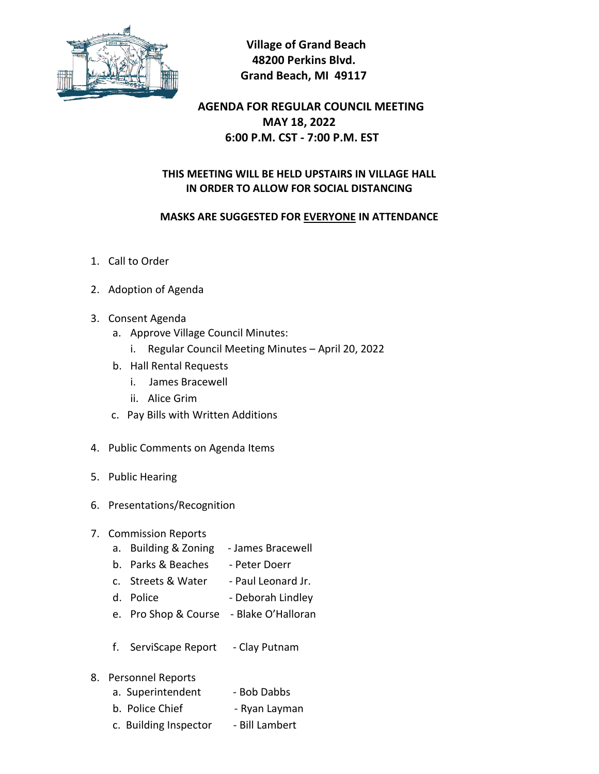

 **Village of Grand Beach 48200 Perkins Blvd. Grand Beach, MI 49117**

# **AGENDA FOR REGULAR COUNCIL MEETING MAY 18, 2022 6:00 P.M. CST - 7:00 P.M. EST**

### **THIS MEETING WILL BE HELD UPSTAIRS IN VILLAGE HALL IN ORDER TO ALLOW FOR SOCIAL DISTANCING**

#### **MASKS ARE SUGGESTED FOR EVERYONE IN ATTENDANCE**

- 1. Call to Order
- 2. Adoption of Agenda
- 3. Consent Agenda
	- a. Approve Village Council Minutes:
		- i. Regular Council Meeting Minutes April 20, 2022
	- b. Hall Rental Requests
		- i. James Bracewell
		- ii. Alice Grim
	- c. Pay Bills with Written Additions
- 4. Public Comments on Agenda Items
- 5. Public Hearing
- 6. Presentations/Recognition
- 7. Commission Reports
	- a. Building & Zoning James Bracewell
	- b. Parks & Beaches Peter Doerr
	- c. Streets & Water Paul Leonard Jr.
	- d. Police Deborah Lindley
	- e. Pro Shop & Course Blake O'Halloran
	- f. ServiScape Report Clay Putnam
- 8. Personnel Reports
	- a. Superintendent Bob Dabbs
	- b. Police Chief Ryan Layman
	- c. Building Inspector Bill Lambert